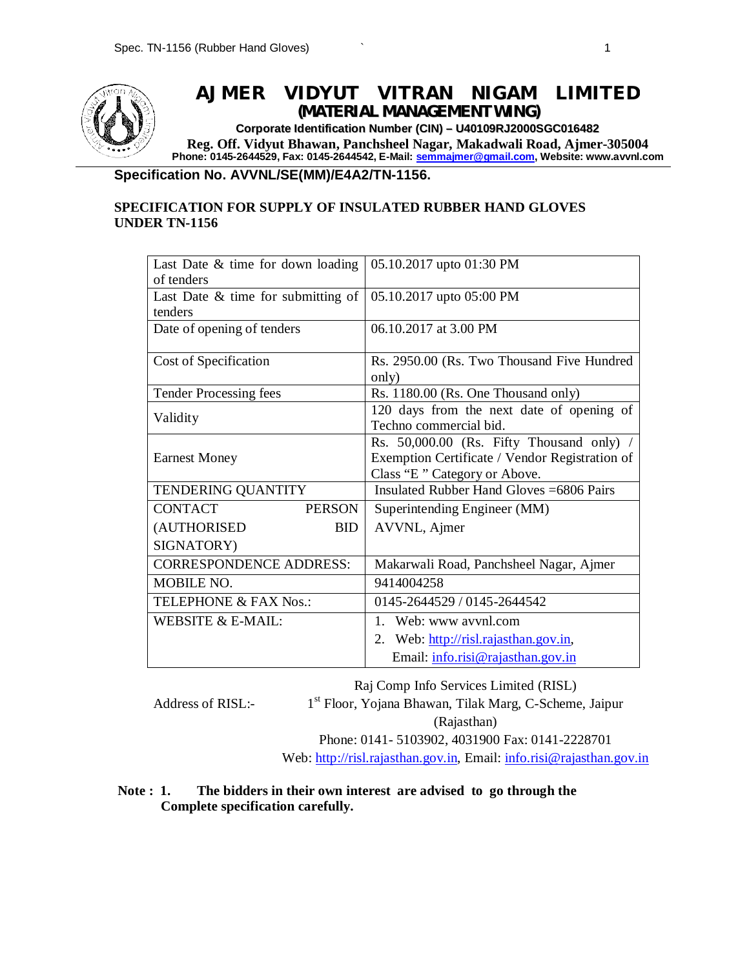

## **AJMER VIDYUT VITRAN NIGAM LIMITED** *(MATERIAL MANAGEMENT WING)*

**Corporate Identification Number (CIN) – U40109RJ2000SGC016482 Reg. Off. Vidyut Bhawan, Panchsheel Nagar, Makadwali Road, Ajmer-305004 Phone: 0145-2644529, Fax: 0145-2644542, E-Mail: semmajmer@gmail.com, Website: www.avvnl.com**

#### **Specification No. AVVNL/SE(MM)/E4A2/TN-1156.**

### **SPECIFICATION FOR SUPPLY OF INSULATED RUBBER HAND GLOVES UNDER TN-1156**

| Last Date $&$ time for down loading<br>of tenders | 05.10.2017 upto 01:30 PM                                                                                                  |
|---------------------------------------------------|---------------------------------------------------------------------------------------------------------------------------|
| Last Date $\&$ time for submitting of<br>tenders  | 05.10.2017 upto 05:00 PM                                                                                                  |
| Date of opening of tenders                        | 06.10.2017 at 3.00 PM                                                                                                     |
| Cost of Specification                             | Rs. 2950.00 (Rs. Two Thousand Five Hundred<br>only)                                                                       |
| <b>Tender Processing fees</b>                     | Rs. 1180.00 (Rs. One Thousand only)                                                                                       |
| Validity                                          | 120 days from the next date of opening of<br>Techno commercial bid.                                                       |
| <b>Earnest Money</b>                              | Rs. 50,000.00 (Rs. Fifty Thousand only)<br>Exemption Certificate / Vendor Registration of<br>Class "E" Category or Above. |
| TENDERING QUANTITY                                | Insulated Rubber Hand Gloves = 6806 Pairs                                                                                 |
| <b>CONTACT</b><br><b>PERSON</b>                   | Superintending Engineer (MM)                                                                                              |
| (AUTHORISED<br><b>BID</b>                         | AVVNL, Ajmer                                                                                                              |
| SIGNATORY)                                        |                                                                                                                           |
| <b>CORRESPONDENCE ADDRESS:</b>                    | Makarwali Road, Panchsheel Nagar, Ajmer                                                                                   |
| <b>MOBILE NO.</b>                                 | 9414004258                                                                                                                |
| TELEPHONE & FAX Nos.:                             | 0145-2644529 / 0145-2644542                                                                                               |
| WEBSITE & E-MAIL:                                 | 1. Web: www avvnl.com                                                                                                     |
|                                                   | 2. Web: http://risl.rajasthan.gov.in.                                                                                     |
|                                                   | Email: info.risi@rajasthan.gov.in                                                                                         |

Raj Comp Info Services Limited (RISL)

Address of RISL:-

1 st Floor, Yojana Bhawan, Tilak Marg, C-Scheme, Jaipur (Rajasthan)

Phone: 0141- 5103902, 4031900 Fax: 0141-2228701 Web: http://risl.rajasthan.gov.in, Email: info.risi@rajasthan.gov.in

### **Note : 1. The bidders in their own interest are advised to go through the Complete specification carefully.**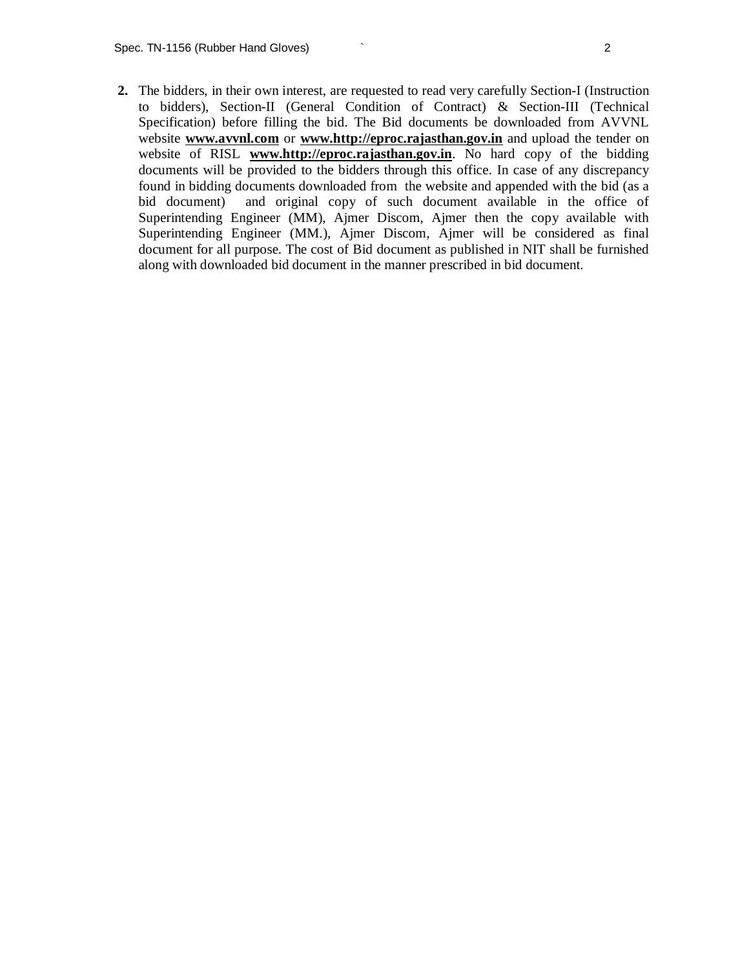**2.** The bidders, in their own interest, are requested to read very carefully Section-I (Instruction to bidders), Section-II (General Condition of Contract) & Section-III (Technical Specification) before filling the bid. The Bid documents be downloaded from AVVNL website **www.avvnl.com** or **www.http://eproc.rajasthan.gov.in** and upload the tender on website of RISL **www.http://eproc.rajasthan.gov.in**. No hard copy of the bidding documents will be provided to the bidders through this office. In case of any discrepancy found in bidding documents downloaded from the website and appended with the bid (as a bid document) and original copy of such document available in the office of Superintending Engineer (MM), Ajmer Discom, Ajmer then the copy available with Superintending Engineer (MM.), Ajmer Discom, Ajmer will be considered as final document for all purpose. The cost of Bid document as published in NIT shall be furnished along with downloaded bid document in the manner prescribed in bid document.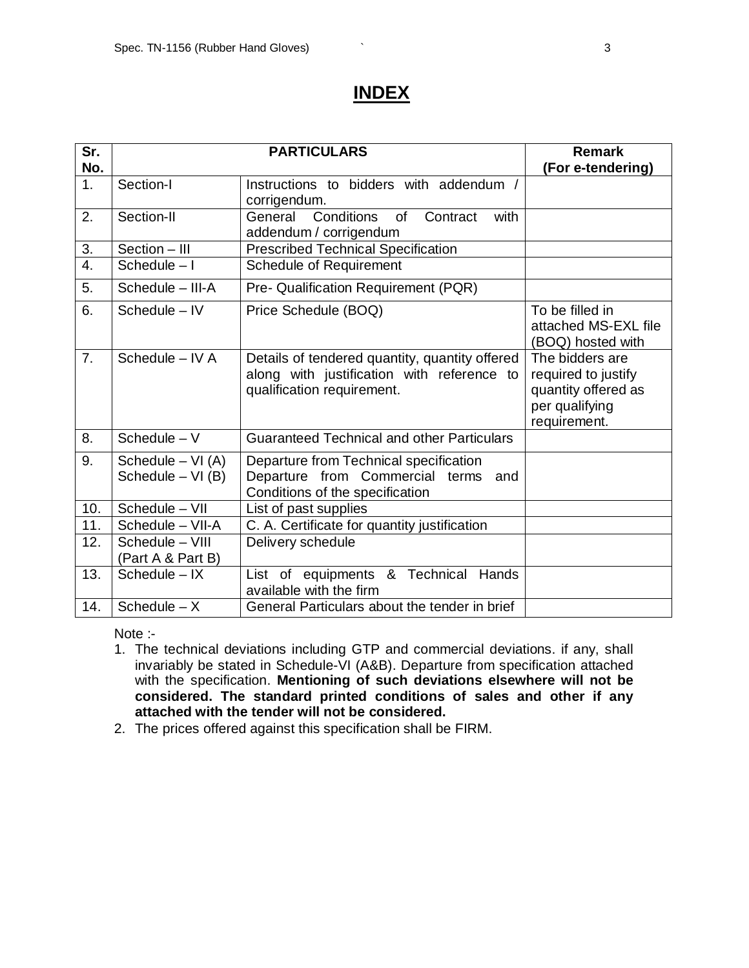## **INDEX**

| Sr.              |                                            | <b>PARTICULARS</b>                                                                                                         | <b>Remark</b>                                                                                   |
|------------------|--------------------------------------------|----------------------------------------------------------------------------------------------------------------------------|-------------------------------------------------------------------------------------------------|
| No.              |                                            |                                                                                                                            | (For e-tendering)                                                                               |
| 1.               | Section-I                                  | Instructions to bidders with addendum /<br>corrigendum.                                                                    |                                                                                                 |
| 2.               | Section-II                                 | Conditions<br>with<br>General<br><b>of</b><br>Contract<br>addendum / corrigendum                                           |                                                                                                 |
| $\overline{3}$ . | Section - III                              | <b>Prescribed Technical Specification</b>                                                                                  |                                                                                                 |
| $\overline{4}$ . | Schedule $-1$                              | <b>Schedule of Requirement</b>                                                                                             |                                                                                                 |
| 5.               | Schedule - III-A                           | Pre- Qualification Requirement (PQR)                                                                                       |                                                                                                 |
| 6.               | Schedule - IV                              | Price Schedule (BOQ)                                                                                                       | To be filled in<br>attached MS-EXL file<br>(BOQ) hosted with                                    |
| 7.               | Schedule - IV A                            | Details of tendered quantity, quantity offered<br>along with justification with reference to<br>qualification requirement. | The bidders are<br>required to justify<br>quantity offered as<br>per qualifying<br>requirement. |
| 8.               | Schedule $-V$                              | <b>Guaranteed Technical and other Particulars</b>                                                                          |                                                                                                 |
| 9.               | Schedule $-$ VI (A)<br>Schedule $-$ VI (B) | Departure from Technical specification<br>Departure from Commercial terms<br>and<br>Conditions of the specification        |                                                                                                 |
| 10.              | Schedule - VII                             | List of past supplies                                                                                                      |                                                                                                 |
| 11.              | Schedule - VII-A                           | C. A. Certificate for quantity justification                                                                               |                                                                                                 |
| 12.              | Schedule - VIII<br>(Part A & Part B)       | Delivery schedule                                                                                                          |                                                                                                 |
| 13.              | $Schedule - IX$                            | List of equipments & Technical Hands<br>available with the firm                                                            |                                                                                                 |
| 14.              | Schedule $- X$                             | General Particulars about the tender in brief                                                                              |                                                                                                 |

Note :-

- 1. The technical deviations including GTP and commercial deviations. if any, shall invariably be stated in Schedule-VI (A&B). Departure from specification attached with the specification. **Mentioning of such deviations elsewhere will not be considered. The standard printed conditions of sales and other if any attached with the tender will not be considered.**
- 2. The prices offered against this specification shall be FIRM.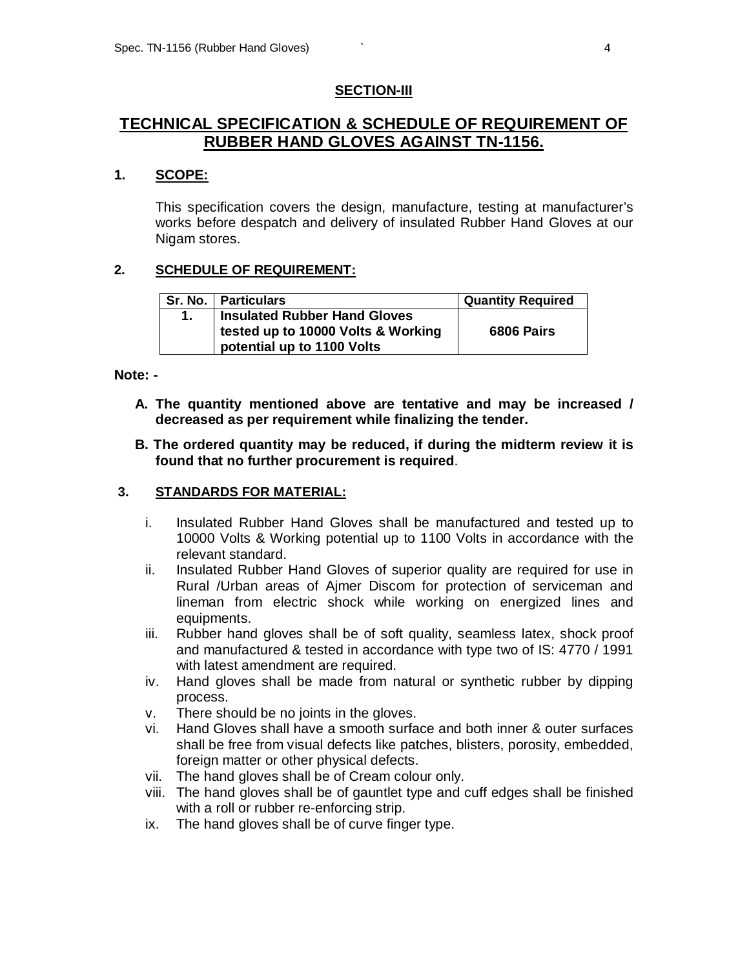#### **SECTION-III**

## **TECHNICAL SPECIFICATION & SCHEDULE OF REQUIREMENT OF RUBBER HAND GLOVES AGAINST TN-1156.**

### **1. SCOPE:**

This specification covers the design, manufacture, testing at manufacturer's works before despatch and delivery of insulated Rubber Hand Gloves at our Nigam stores.

### **2. SCHEDULE OF REQUIREMENT:**

| Sr. No.   Particulars                                                                            | <b>Quantity Required</b> |
|--------------------------------------------------------------------------------------------------|--------------------------|
| Insulated Rubber Hand Gloves<br>tested up to 10000 Volts & Working<br>potential up to 1100 Volts | 6806 Pairs               |

**Note: -**

- **A. The quantity mentioned above are tentative and may be increased / decreased as per requirement while finalizing the tender.**
- **B. The ordered quantity may be reduced, if during the midterm review it is found that no further procurement is required**.

#### **3. STANDARDS FOR MATERIAL:**

- i. Insulated Rubber Hand Gloves shall be manufactured and tested up to 10000 Volts & Working potential up to 1100 Volts in accordance with the relevant standard.
- ii. Insulated Rubber Hand Gloves of superior quality are required for use in Rural /Urban areas of Ajmer Discom for protection of serviceman and lineman from electric shock while working on energized lines and equipments.
- iii. Rubber hand gloves shall be of soft quality, seamless latex, shock proof and manufactured & tested in accordance with type two of IS: 4770 / 1991 with latest amendment are required.
- iv. Hand gloves shall be made from natural or synthetic rubber by dipping process.
- v. There should be no joints in the gloves.
- vi. Hand Gloves shall have a smooth surface and both inner & outer surfaces shall be free from visual defects like patches, blisters, porosity, embedded, foreign matter or other physical defects.
- vii. The hand gloves shall be of Cream colour only.
- viii. The hand gloves shall be of gauntlet type and cuff edges shall be finished with a roll or rubber re-enforcing strip.
- ix. The hand gloves shall be of curve finger type.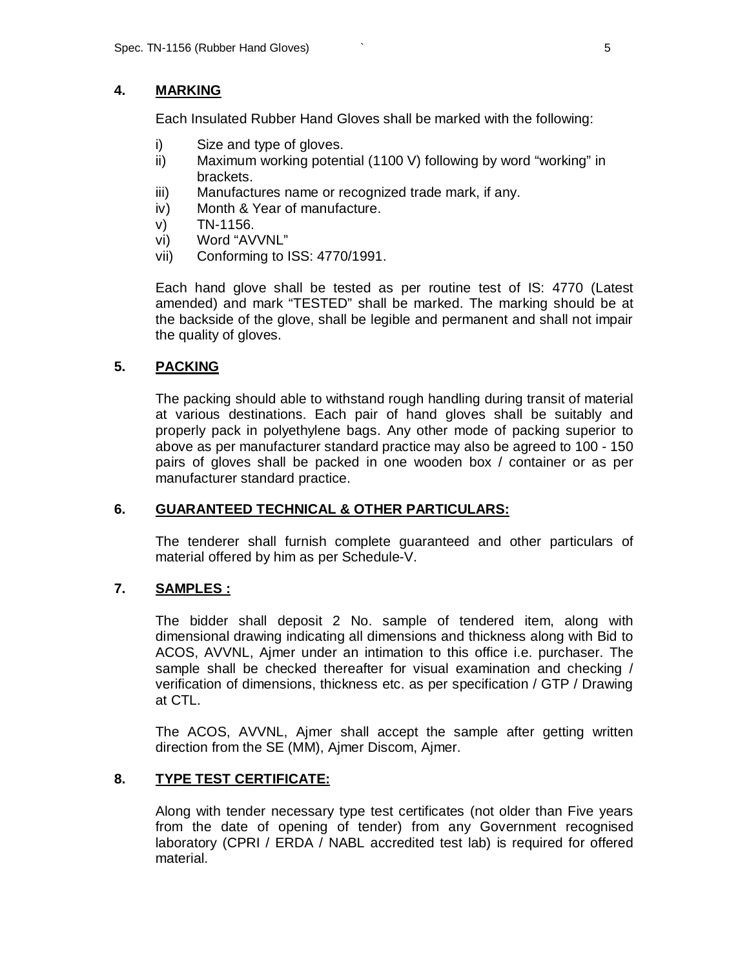### **4. MARKING**

Each Insulated Rubber Hand Gloves shall be marked with the following:

- i) Size and type of gloves.
- ii) Maximum working potential (1100 V) following by word "working" in brackets.
- iii) Manufactures name or recognized trade mark, if any.
- iv) Month & Year of manufacture.
- v) TN-1156.
- vi) Word "AVVNL"
- vii) Conforming to ISS: 4770/1991.

Each hand glove shall be tested as per routine test of IS: 4770 (Latest amended) and mark "TESTED" shall be marked. The marking should be at the backside of the glove, shall be legible and permanent and shall not impair the quality of gloves.

## **5. PACKING**

The packing should able to withstand rough handling during transit of material at various destinations. Each pair of hand gloves shall be suitably and properly pack in polyethylene bags. Any other mode of packing superior to above as per manufacturer standard practice may also be agreed to 100 - 150 pairs of gloves shall be packed in one wooden box / container or as per manufacturer standard practice.

### **6. GUARANTEED TECHNICAL & OTHER PARTICULARS:**

The tenderer shall furnish complete guaranteed and other particulars of material offered by him as per Schedule-V.

### **7. SAMPLES :**

The bidder shall deposit 2 No. sample of tendered item, along with dimensional drawing indicating all dimensions and thickness along with Bid to ACOS, AVVNL, Ajmer under an intimation to this office i.e. purchaser. The sample shall be checked thereafter for visual examination and checking / verification of dimensions, thickness etc. as per specification / GTP / Drawing at CTL.

The ACOS, AVVNL, Ajmer shall accept the sample after getting written direction from the SE (MM), Ajmer Discom, Ajmer.

## **8. TYPE TEST CERTIFICATE:**

Along with tender necessary type test certificates (not older than Five years from the date of opening of tender) from any Government recognised laboratory (CPRI / ERDA / NABL accredited test lab) is required for offered material.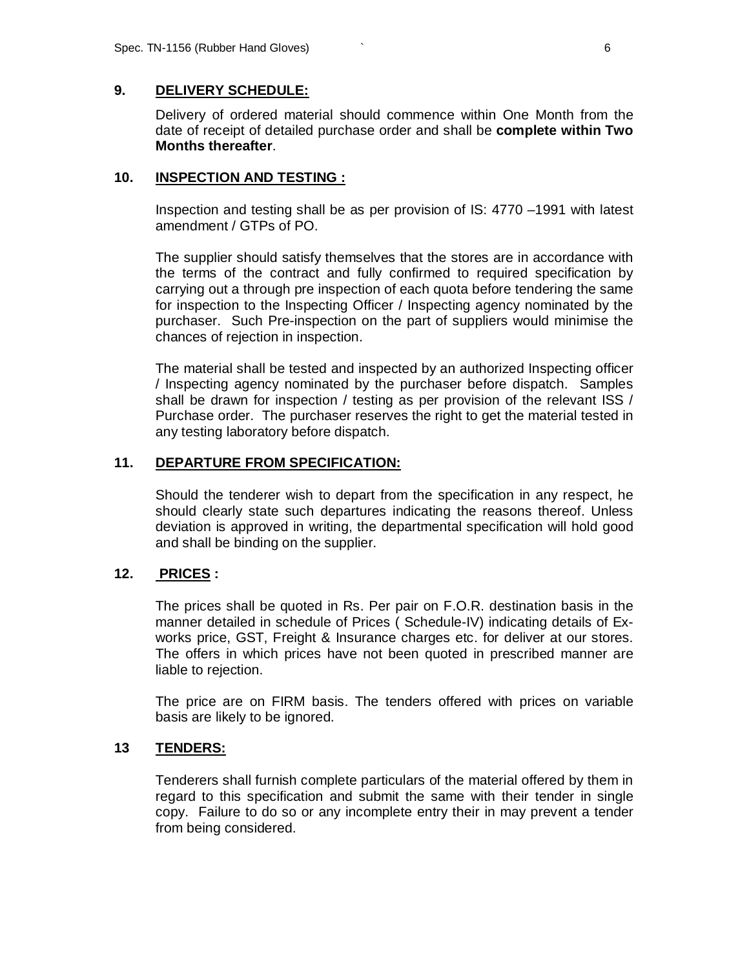### **9. DELIVERY SCHEDULE:**

Delivery of ordered material should commence within One Month from the date of receipt of detailed purchase order and shall be **complete within Two Months thereafter**.

#### **10. INSPECTION AND TESTING :**

Inspection and testing shall be as per provision of IS: 4770 –1991 with latest amendment / GTPs of PO.

The supplier should satisfy themselves that the stores are in accordance with the terms of the contract and fully confirmed to required specification by carrying out a through pre inspection of each quota before tendering the same for inspection to the Inspecting Officer / Inspecting agency nominated by the purchaser. Such Pre-inspection on the part of suppliers would minimise the chances of rejection in inspection.

The material shall be tested and inspected by an authorized Inspecting officer / Inspecting agency nominated by the purchaser before dispatch. Samples shall be drawn for inspection / testing as per provision of the relevant ISS / Purchase order. The purchaser reserves the right to get the material tested in any testing laboratory before dispatch.

### **11. DEPARTURE FROM SPECIFICATION:**

Should the tenderer wish to depart from the specification in any respect, he should clearly state such departures indicating the reasons thereof. Unless deviation is approved in writing, the departmental specification will hold good and shall be binding on the supplier.

### **12. PRICES :**

The prices shall be quoted in Rs. Per pair on F.O.R. destination basis in the manner detailed in schedule of Prices ( Schedule-IV) indicating details of Exworks price, GST, Freight & Insurance charges etc. for deliver at our stores. The offers in which prices have not been quoted in prescribed manner are liable to rejection.

The price are on FIRM basis. The tenders offered with prices on variable basis are likely to be ignored.

#### **13 TENDERS:**

Tenderers shall furnish complete particulars of the material offered by them in regard to this specification and submit the same with their tender in single copy. Failure to do so or any incomplete entry their in may prevent a tender from being considered.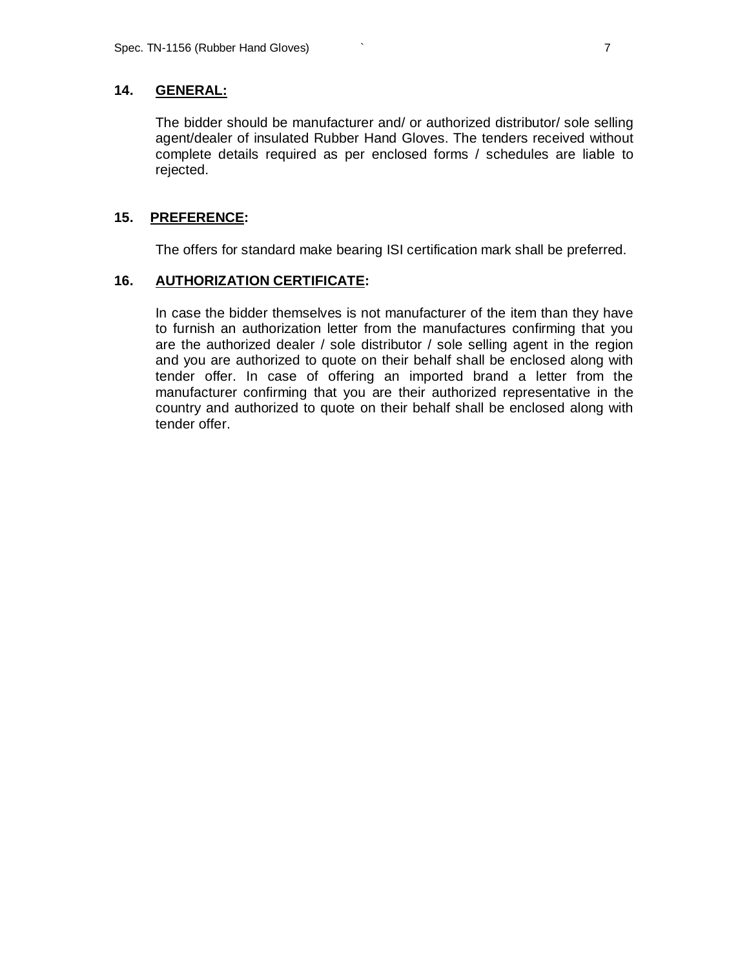### **14. GENERAL:**

The bidder should be manufacturer and/ or authorized distributor/ sole selling agent/dealer of insulated Rubber Hand Gloves. The tenders received without complete details required as per enclosed forms / schedules are liable to rejected.

### **15. PREFERENCE:**

The offers for standard make bearing ISI certification mark shall be preferred.

### **16. AUTHORIZATION CERTIFICATE:**

In case the bidder themselves is not manufacturer of the item than they have to furnish an authorization letter from the manufactures confirming that you are the authorized dealer / sole distributor / sole selling agent in the region and you are authorized to quote on their behalf shall be enclosed along with tender offer. In case of offering an imported brand a letter from the manufacturer confirming that you are their authorized representative in the country and authorized to quote on their behalf shall be enclosed along with tender offer.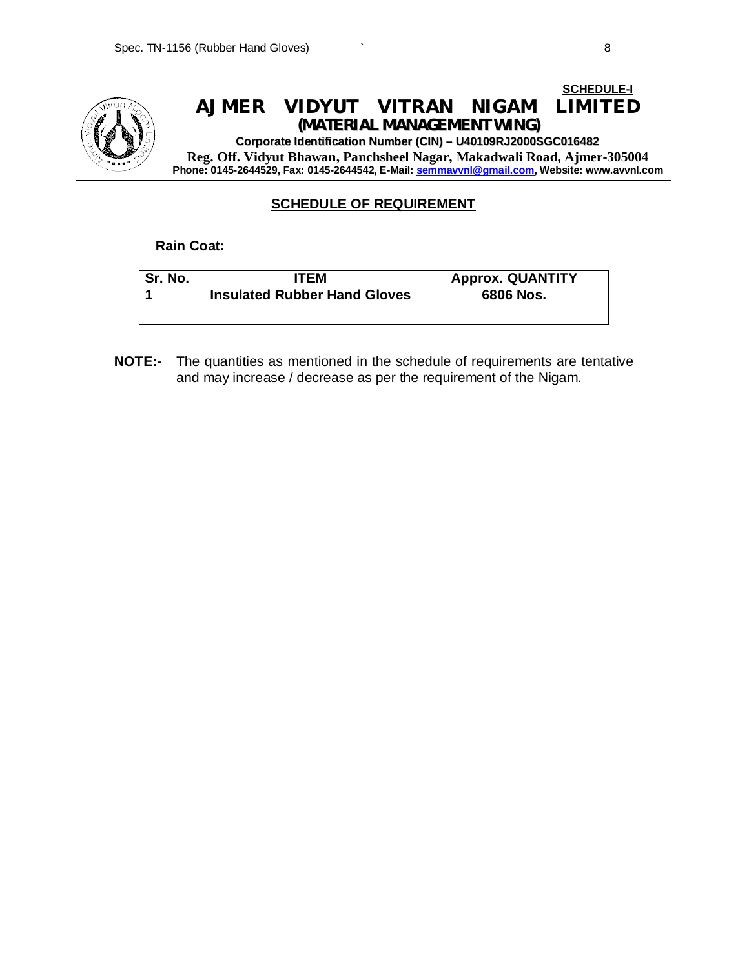

### **SCHEDULE OF REQUIREMENT**

**Rain Coat:**

| Sr. No. | <b>TEM</b>                          | <b>Approx. QUANTITY</b> |
|---------|-------------------------------------|-------------------------|
|         | <b>Insulated Rubber Hand Gloves</b> | 6806 Nos.               |
|         |                                     |                         |

**NOTE:-** The quantities as mentioned in the schedule of requirements are tentative and may increase / decrease as per the requirement of the Nigam.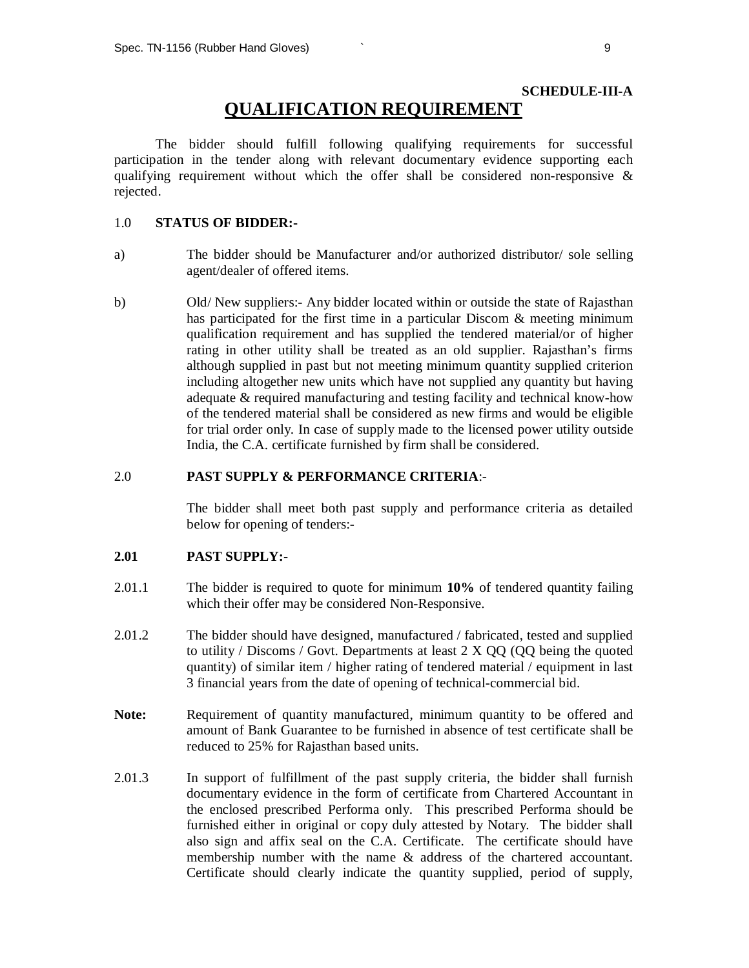## **SCHEDULE-III-A QUALIFICATION REQUIREMENT**

The bidder should fulfill following qualifying requirements for successful participation in the tender along with relevant documentary evidence supporting each qualifying requirement without which the offer shall be considered non-responsive  $\&$ rejected.

### 1.0 **STATUS OF BIDDER:-**

- a) The bidder should be Manufacturer and/or authorized distributor/ sole selling agent/dealer of offered items.
- b) Old/ New suppliers:- Any bidder located within or outside the state of Rajasthan has participated for the first time in a particular Discom & meeting minimum qualification requirement and has supplied the tendered material/or of higher rating in other utility shall be treated as an old supplier. Rajasthan's firms although supplied in past but not meeting minimum quantity supplied criterion including altogether new units which have not supplied any quantity but having adequate & required manufacturing and testing facility and technical know-how of the tendered material shall be considered as new firms and would be eligible for trial order only. In case of supply made to the licensed power utility outside India, the C.A. certificate furnished by firm shall be considered.

### 2.0 **PAST SUPPLY & PERFORMANCE CRITERIA**:-

The bidder shall meet both past supply and performance criteria as detailed below for opening of tenders:-

#### **2.01 PAST SUPPLY:-**

- 2.01.1 The bidder is required to quote for minimum **10%** of tendered quantity failing which their offer may be considered Non-Responsive.
- 2.01.2 The bidder should have designed, manufactured / fabricated, tested and supplied to utility / Discoms / Govt. Departments at least 2 X QQ (QQ being the quoted quantity) of similar item / higher rating of tendered material / equipment in last 3 financial years from the date of opening of technical-commercial bid.
- **Note:** Requirement of quantity manufactured, minimum quantity to be offered and amount of Bank Guarantee to be furnished in absence of test certificate shall be reduced to 25% for Rajasthan based units.
- 2.01.3 In support of fulfillment of the past supply criteria, the bidder shall furnish documentary evidence in the form of certificate from Chartered Accountant in the enclosed prescribed Performa only. This prescribed Performa should be furnished either in original or copy duly attested by Notary. The bidder shall also sign and affix seal on the C.A. Certificate. The certificate should have membership number with the name & address of the chartered accountant. Certificate should clearly indicate the quantity supplied, period of supply,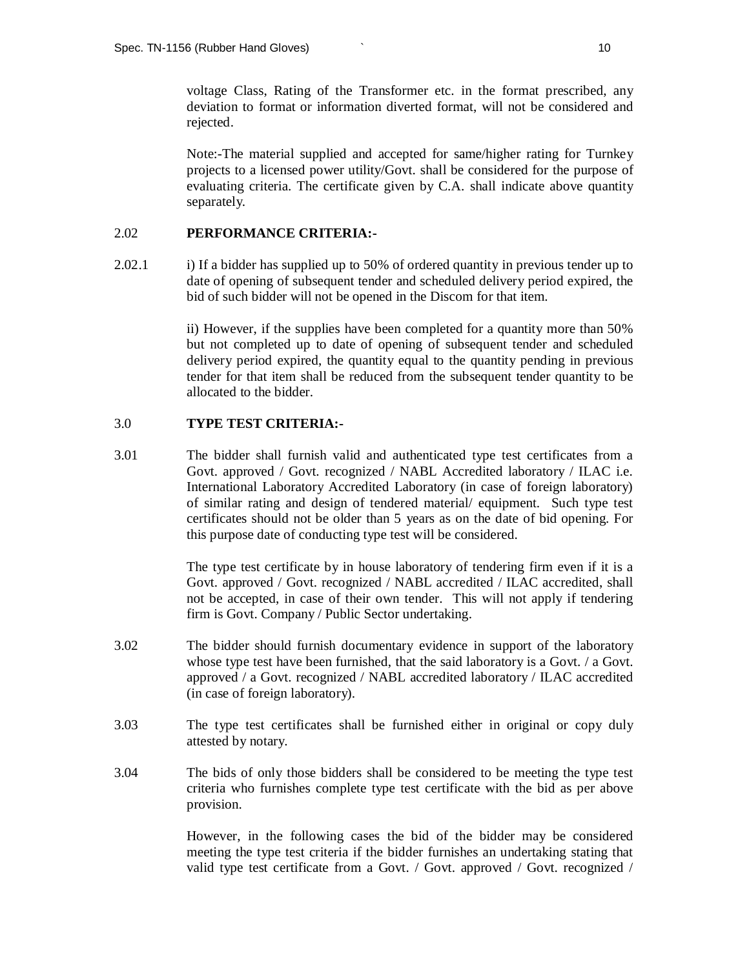voltage Class, Rating of the Transformer etc. in the format prescribed, any deviation to format or information diverted format, will not be considered and rejected.

Note:-The material supplied and accepted for same/higher rating for Turnkey projects to a licensed power utility/Govt. shall be considered for the purpose of evaluating criteria. The certificate given by C.A. shall indicate above quantity separately.

#### 2.02 **PERFORMANCE CRITERIA:-**

2.02.1 i) If a bidder has supplied up to 50% of ordered quantity in previous tender up to date of opening of subsequent tender and scheduled delivery period expired, the bid of such bidder will not be opened in the Discom for that item.

> ii) However, if the supplies have been completed for a quantity more than 50% but not completed up to date of opening of subsequent tender and scheduled delivery period expired, the quantity equal to the quantity pending in previous tender for that item shall be reduced from the subsequent tender quantity to be allocated to the bidder.

#### 3.0 **TYPE TEST CRITERIA:-**

3.01 The bidder shall furnish valid and authenticated type test certificates from a Govt. approved / Govt. recognized / NABL Accredited laboratory / ILAC i.e. International Laboratory Accredited Laboratory (in case of foreign laboratory) of similar rating and design of tendered material/ equipment. Such type test certificates should not be older than 5 years as on the date of bid opening. For this purpose date of conducting type test will be considered.

> The type test certificate by in house laboratory of tendering firm even if it is a Govt. approved / Govt. recognized / NABL accredited / ILAC accredited, shall not be accepted, in case of their own tender. This will not apply if tendering firm is Govt. Company / Public Sector undertaking.

- 3.02 The bidder should furnish documentary evidence in support of the laboratory whose type test have been furnished, that the said laboratory is a Govt. / a Govt. approved / a Govt. recognized / NABL accredited laboratory / ILAC accredited (in case of foreign laboratory).
- 3.03 The type test certificates shall be furnished either in original or copy duly attested by notary.
- 3.04 The bids of only those bidders shall be considered to be meeting the type test criteria who furnishes complete type test certificate with the bid as per above provision.

However, in the following cases the bid of the bidder may be considered meeting the type test criteria if the bidder furnishes an undertaking stating that valid type test certificate from a Govt. / Govt. approved / Govt. recognized /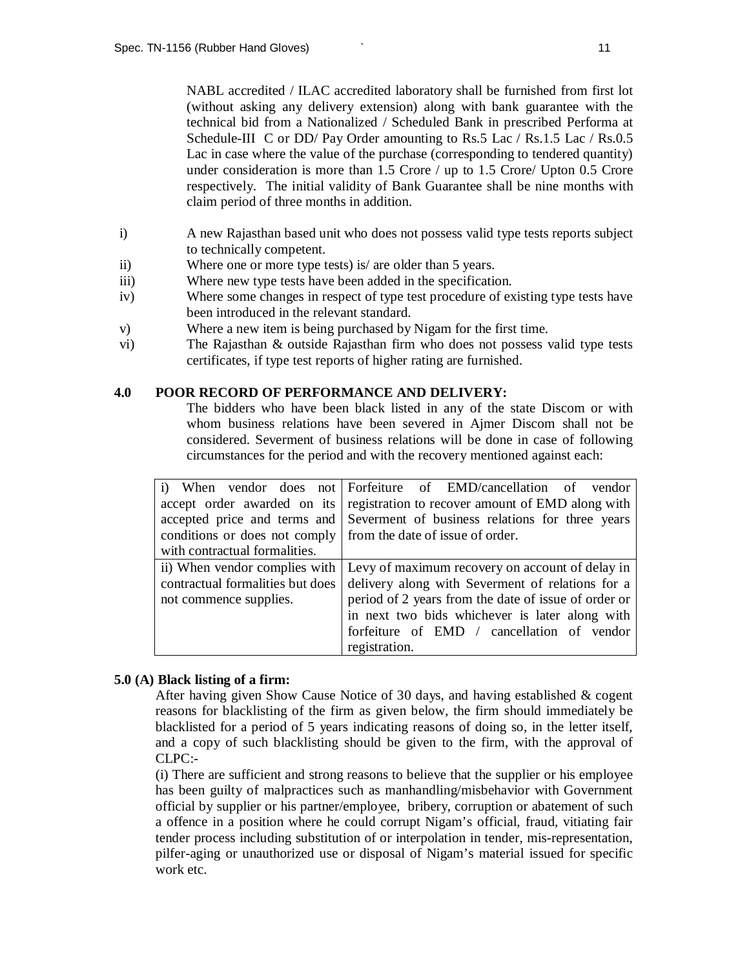NABL accredited / ILAC accredited laboratory shall be furnished from first lot (without asking any delivery extension) along with bank guarantee with the technical bid from a Nationalized / Scheduled Bank in prescribed Performa at Schedule-III C or DD/ Pay Order amounting to Rs.5 Lac / Rs.1.5 Lac / Rs.0.5 Lac in case where the value of the purchase (corresponding to tendered quantity) under consideration is more than 1.5 Crore / up to 1.5 Crore Upton 0.5 Crore respectively. The initial validity of Bank Guarantee shall be nine months with claim period of three months in addition.

- i) A new Rajasthan based unit who does not possess valid type tests reports subject to technically competent.
- ii) Where one or more type tests) is/ are older than 5 years.
- iii) Where new type tests have been added in the specification.
- iv) Where some changes in respect of type test procedure of existing type tests have been introduced in the relevant standard.
- v) Where a new item is being purchased by Nigam for the first time.
- vi) The Rajasthan & outside Rajasthan firm who does not possess valid type tests certificates, if type test reports of higher rating are furnished.

#### **4.0 POOR RECORD OF PERFORMANCE AND DELIVERY:**

The bidders who have been black listed in any of the state Discom or with whom business relations have been severed in Ajmer Discom shall not be considered. Severment of business relations will be done in case of following circumstances for the period and with the recovery mentioned against each:

|                                                                | i) When vendor does not Forfeiture of EMD/cancellation of vendor              |  |  |  |
|----------------------------------------------------------------|-------------------------------------------------------------------------------|--|--|--|
|                                                                | accept order awarded on its registration to recover amount of EMD along with  |  |  |  |
|                                                                | accepted price and terms and Severment of business relations for three years  |  |  |  |
| conditions or does not comply from the date of issue of order. |                                                                               |  |  |  |
| with contractual formalities.                                  |                                                                               |  |  |  |
|                                                                | ii) When vendor complies with Levy of maximum recovery on account of delay in |  |  |  |
| contractual formalities but does                               | delivery along with Severment of relations for a                              |  |  |  |
| not commence supplies.                                         | period of 2 years from the date of issue of order or                          |  |  |  |
|                                                                | in next two bids whichever is later along with                                |  |  |  |
|                                                                | forfeiture of EMD / cancellation of vendor                                    |  |  |  |
|                                                                | registration.                                                                 |  |  |  |

#### **5.0 (A) Black listing of a firm:**

After having given Show Cause Notice of 30 days, and having established & cogent reasons for blacklisting of the firm as given below, the firm should immediately be blacklisted for a period of 5 years indicating reasons of doing so, in the letter itself, and a copy of such blacklisting should be given to the firm, with the approval of CLPC:-

(i) There are sufficient and strong reasons to believe that the supplier or his employee has been guilty of malpractices such as manhandling/misbehavior with Government official by supplier or his partner/employee, bribery, corruption or abatement of such a offence in a position where he could corrupt Nigam's official, fraud, vitiating fair tender process including substitution of or interpolation in tender, mis-representation, pilfer-aging or unauthorized use or disposal of Nigam's material issued for specific work etc.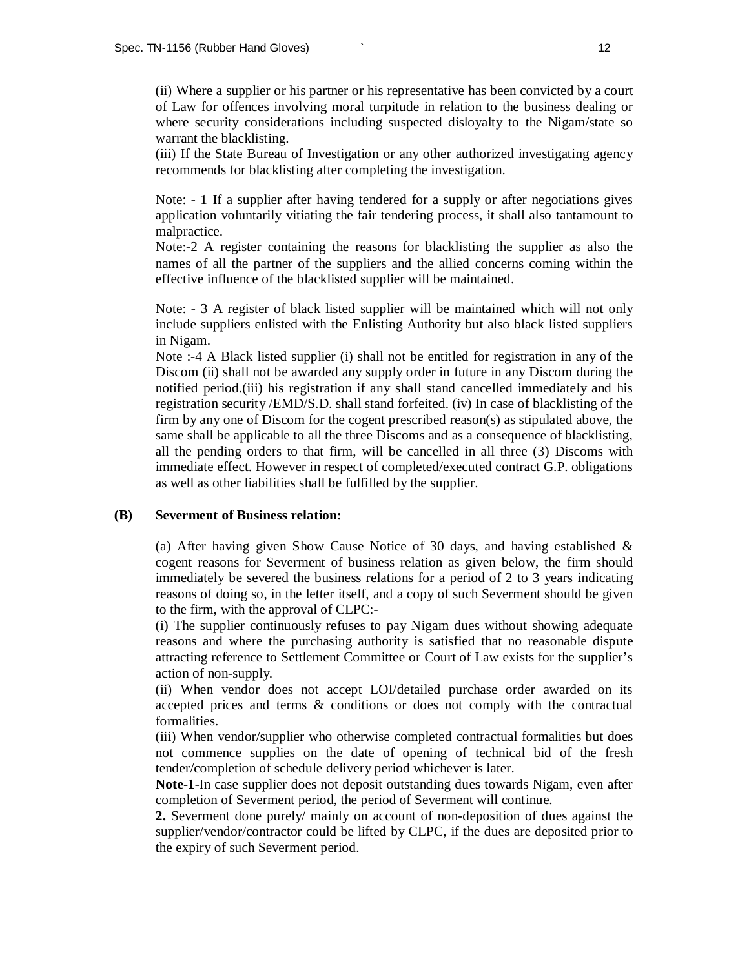(ii) Where a supplier or his partner or his representative has been convicted by a court of Law for offences involving moral turpitude in relation to the business dealing or where security considerations including suspected disloyalty to the Nigam/state so warrant the blacklisting.

(iii) If the State Bureau of Investigation or any other authorized investigating agency recommends for blacklisting after completing the investigation.

Note: - 1 If a supplier after having tendered for a supply or after negotiations gives application voluntarily vitiating the fair tendering process, it shall also tantamount to malpractice.

Note:-2 A register containing the reasons for blacklisting the supplier as also the names of all the partner of the suppliers and the allied concerns coming within the effective influence of the blacklisted supplier will be maintained.

Note: - 3 A register of black listed supplier will be maintained which will not only include suppliers enlisted with the Enlisting Authority but also black listed suppliers in Nigam.

Note :-4 A Black listed supplier (i) shall not be entitled for registration in any of the Discom (ii) shall not be awarded any supply order in future in any Discom during the notified period.(iii) his registration if any shall stand cancelled immediately and his registration security /EMD/S.D. shall stand forfeited. (iv) In case of blacklisting of the firm by any one of Discom for the cogent prescribed reason(s) as stipulated above, the same shall be applicable to all the three Discoms and as a consequence of blacklisting, all the pending orders to that firm, will be cancelled in all three (3) Discoms with immediate effect. However in respect of completed/executed contract G.P. obligations as well as other liabilities shall be fulfilled by the supplier.

#### **(B) Severment of Business relation:**

(a) After having given Show Cause Notice of 30 days, and having established & cogent reasons for Severment of business relation as given below, the firm should immediately be severed the business relations for a period of 2 to 3 years indicating reasons of doing so, in the letter itself, and a copy of such Severment should be given to the firm, with the approval of CLPC:-

(i) The supplier continuously refuses to pay Nigam dues without showing adequate reasons and where the purchasing authority is satisfied that no reasonable dispute attracting reference to Settlement Committee or Court of Law exists for the supplier's action of non-supply.

(ii) When vendor does not accept LOI/detailed purchase order awarded on its accepted prices and terms & conditions or does not comply with the contractual formalities.

(iii) When vendor/supplier who otherwise completed contractual formalities but does not commence supplies on the date of opening of technical bid of the fresh tender/completion of schedule delivery period whichever is later.

**Note-1**-In case supplier does not deposit outstanding dues towards Nigam, even after completion of Severment period, the period of Severment will continue.

**2.** Severment done purely/ mainly on account of non-deposition of dues against the supplier/vendor/contractor could be lifted by CLPC, if the dues are deposited prior to the expiry of such Severment period.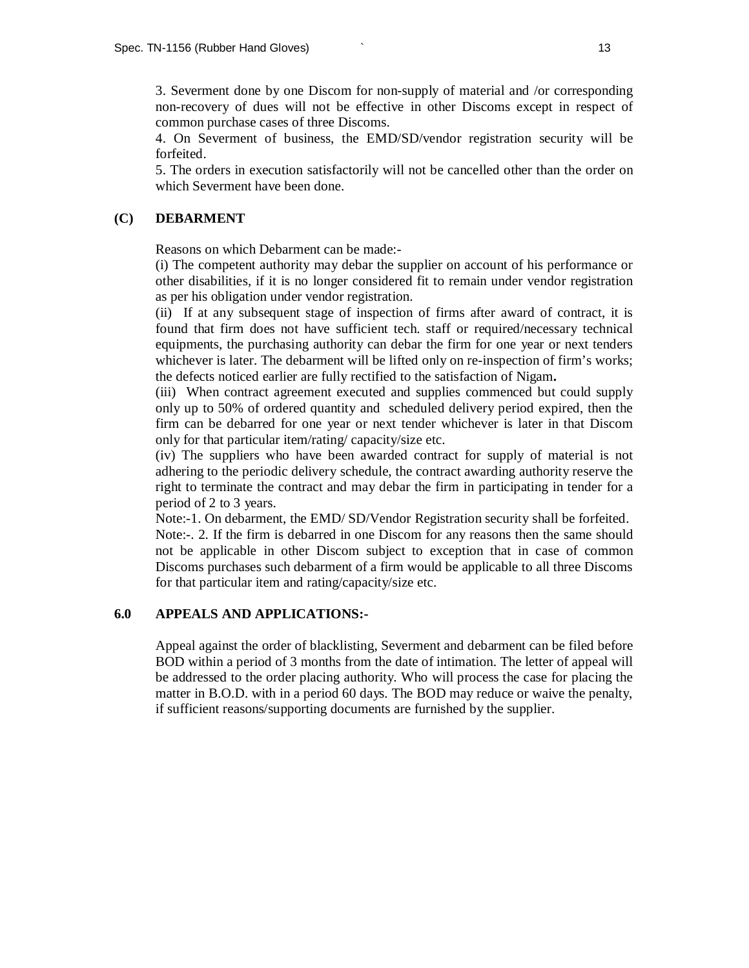3. Severment done by one Discom for non-supply of material and /or corresponding non-recovery of dues will not be effective in other Discoms except in respect of common purchase cases of three Discoms.

4. On Severment of business, the EMD/SD/vendor registration security will be forfeited.

5. The orders in execution satisfactorily will not be cancelled other than the order on which Severment have been done.

#### **(C) DEBARMENT**

Reasons on which Debarment can be made:-

(i) The competent authority may debar the supplier on account of his performance or other disabilities, if it is no longer considered fit to remain under vendor registration as per his obligation under vendor registration.

(ii) If at any subsequent stage of inspection of firms after award of contract, it is found that firm does not have sufficient tech. staff or required/necessary technical equipments, the purchasing authority can debar the firm for one year or next tenders whichever is later. The debarment will be lifted only on re-inspection of firm's works; the defects noticed earlier are fully rectified to the satisfaction of Nigam**.** 

(iii) When contract agreement executed and supplies commenced but could supply only up to 50% of ordered quantity and scheduled delivery period expired, then the firm can be debarred for one year or next tender whichever is later in that Discom only for that particular item/rating/ capacity/size etc.

(iv) The suppliers who have been awarded contract for supply of material is not adhering to the periodic delivery schedule, the contract awarding authority reserve the right to terminate the contract and may debar the firm in participating in tender for a period of 2 to 3 years.

Note:-1. On debarment, the EMD/ SD/Vendor Registration security shall be forfeited. Note:-. 2. If the firm is debarred in one Discom for any reasons then the same should not be applicable in other Discom subject to exception that in case of common Discoms purchases such debarment of a firm would be applicable to all three Discoms for that particular item and rating/capacity/size etc.

### **6.0 APPEALS AND APPLICATIONS:-**

Appeal against the order of blacklisting, Severment and debarment can be filed before BOD within a period of 3 months from the date of intimation. The letter of appeal will be addressed to the order placing authority. Who will process the case for placing the matter in B.O.D. with in a period 60 days. The BOD may reduce or waive the penalty, if sufficient reasons/supporting documents are furnished by the supplier.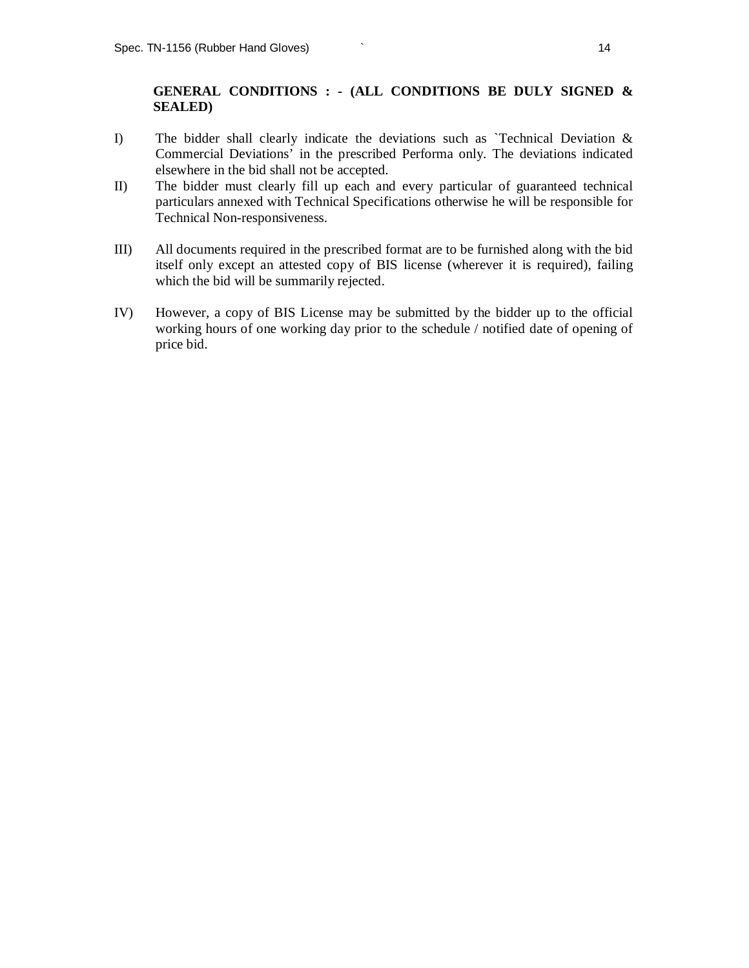### **GENERAL CONDITIONS : - (ALL CONDITIONS BE DULY SIGNED & SEALED)**

- I) The bidder shall clearly indicate the deviations such as `Technical Deviation & Commercial Deviations' in the prescribed Performa only. The deviations indicated elsewhere in the bid shall not be accepted.
- II) The bidder must clearly fill up each and every particular of guaranteed technical particulars annexed with Technical Specifications otherwise he will be responsible for Technical Non-responsiveness.
- III) All documents required in the prescribed format are to be furnished along with the bid itself only except an attested copy of BIS license (wherever it is required), failing which the bid will be summarily rejected.
- IV) However, a copy of BIS License may be submitted by the bidder up to the official working hours of one working day prior to the schedule / notified date of opening of price bid.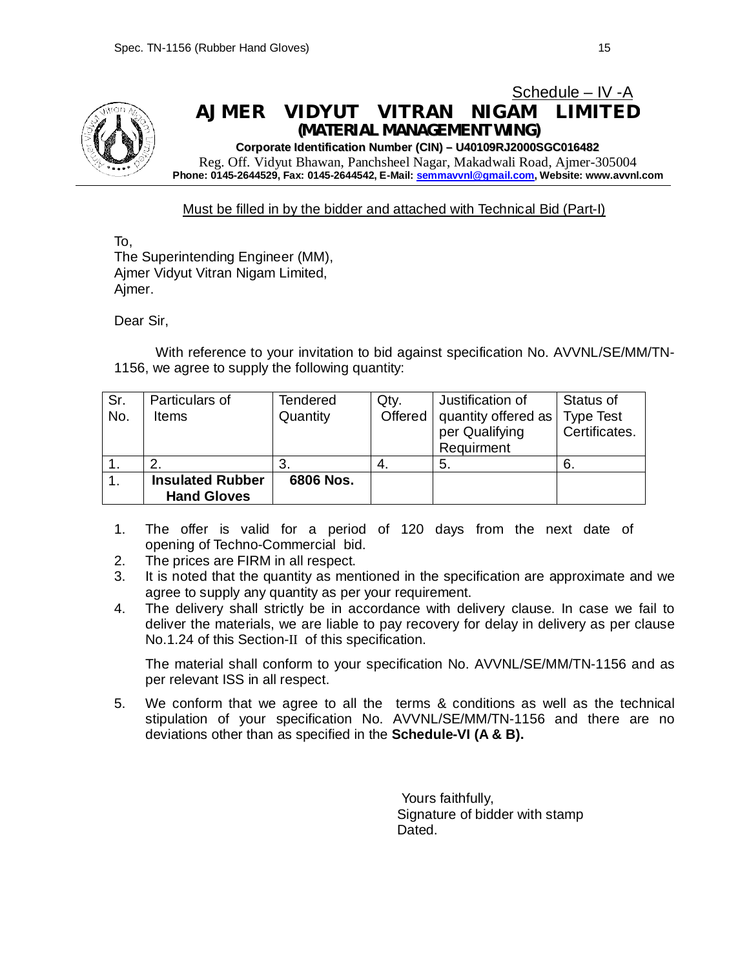

## Schedule – IV -A **AJMER VIDYUT VITRAN NIGAM LIMITED** *(MATERIAL MANAGEMENT WING)*

**Corporate Identification Number (CIN) – U40109RJ2000SGC016482**

Reg. Off. Vidyut Bhawan, Panchsheel Nagar, Makadwali Road, Ajmer-305004 **Phone: 0145-2644529, Fax: 0145-2644542, E-Mail: semmavvnl@gmail.com, Website: www.avvnl.com**

### Must be filled in by the bidder and attached with Technical Bid (Part-I)

To, The Superintending Engineer (MM), Ajmer Vidyut Vitran Nigam Limited, Ajmer.

Dear Sir,

With reference to your invitation to bid against specification No. AVVNL/SE/MM/TN-1156, we agree to supply the following quantity:

| Sr.<br>No.     | Particulars of<br><b>Items</b>                | <b>Tendered</b><br>Quantity | Qty. | Justification of<br>Offered   quantity offered as<br>per Qualifying<br>Requirment | Status of<br><b>Type Test</b><br>Certificates. |
|----------------|-----------------------------------------------|-----------------------------|------|-----------------------------------------------------------------------------------|------------------------------------------------|
|                |                                               | -3.                         | 4.   | -5.                                                                               | -6.                                            |
| $\mathbf{1}$ . | <b>Insulated Rubber</b><br><b>Hand Gloves</b> | 6806 Nos.                   |      |                                                                                   |                                                |

- 1. The offer is valid for a period of 120 days from the next date of opening of Techno-Commercial bid.
- 2. The prices are FIRM in all respect.
- 3. It is noted that the quantity as mentioned in the specification are approximate and we agree to supply any quantity as per your requirement.
- 4. The delivery shall strictly be in accordance with delivery clause. In case we fail to deliver the materials, we are liable to pay recovery for delay in delivery as per clause No.1.24 of this Section-II of this specification.

The material shall conform to your specification No. AVVNL/SE/MM/TN-1156 and as per relevant ISS in all respect.

5. We conform that we agree to all the terms & conditions as well as the technical stipulation of your specification No. AVVNL/SE/MM/TN-1156 and there are no deviations other than as specified in the **Schedule-VI (A & B).**

> Yours faithfully, Signature of bidder with stamp Dated.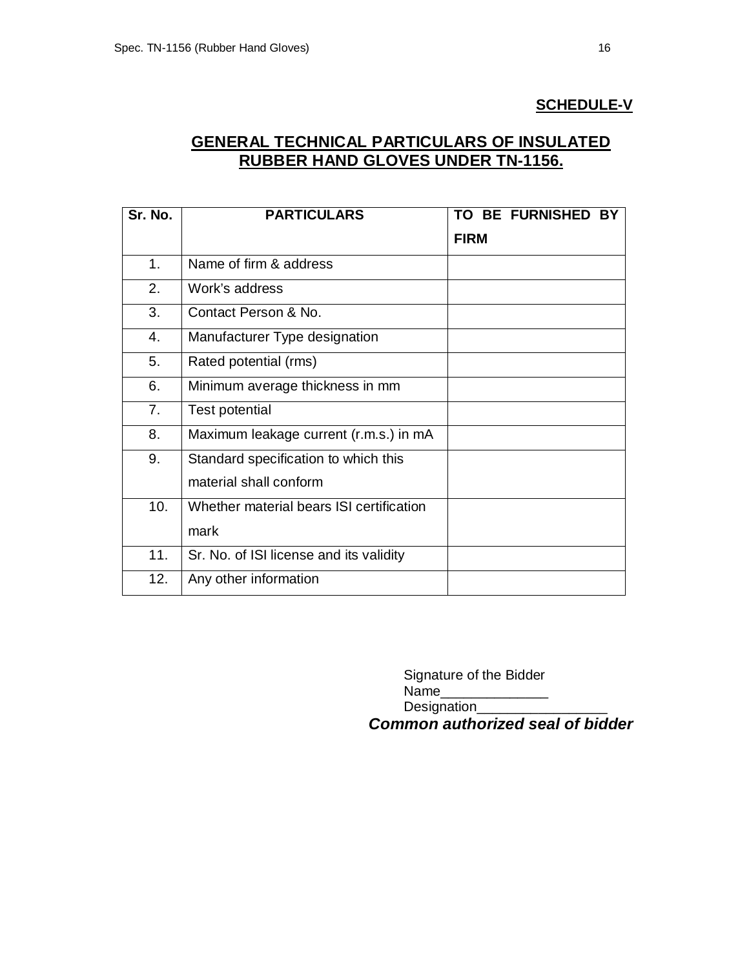## **SCHEDULE-V**

## **GENERAL TECHNICAL PARTICULARS OF INSULATED RUBBER HAND GLOVES UNDER TN-1156.**

| Sr. No. | <b>PARTICULARS</b>                       | TO BE FURNISHED BY |
|---------|------------------------------------------|--------------------|
|         |                                          | <b>FIRM</b>        |
| 1.      | Name of firm & address                   |                    |
| 2.      | Work's address                           |                    |
| 3.      | Contact Person & No.                     |                    |
| 4.      | Manufacturer Type designation            |                    |
| 5.      | Rated potential (rms)                    |                    |
| 6.      | Minimum average thickness in mm          |                    |
| 7.      | Test potential                           |                    |
| 8.      | Maximum leakage current (r.m.s.) in mA   |                    |
| 9.      | Standard specification to which this     |                    |
|         | material shall conform                   |                    |
| 10.     | Whether material bears ISI certification |                    |
|         | mark                                     |                    |
| 11.     | Sr. No. of ISI license and its validity  |                    |
| 12.     | Any other information                    |                    |

Signature of the Bidder Name\_\_\_\_\_\_\_\_\_\_\_\_\_\_ Designation\_\_\_\_\_\_\_

*Common authorized seal of bidder*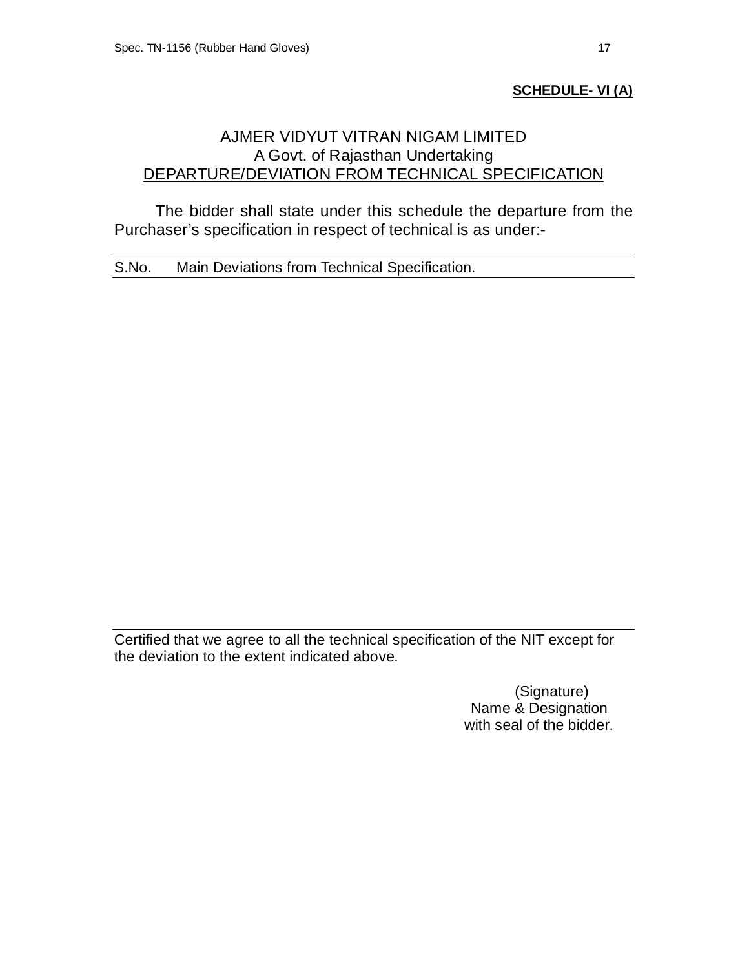## **SCHEDULE- VI (A)**

## AJMER VIDYUT VITRAN NIGAM LIMITED A Govt. of Rajasthan Undertaking DEPARTURE/DEVIATION FROM TECHNICAL SPECIFICATION

The bidder shall state under this schedule the departure from the Purchaser's specification in respect of technical is as under:-

S.No. Main Deviations from Technical Specification.

Certified that we agree to all the technical specification of the NIT except for the deviation to the extent indicated above.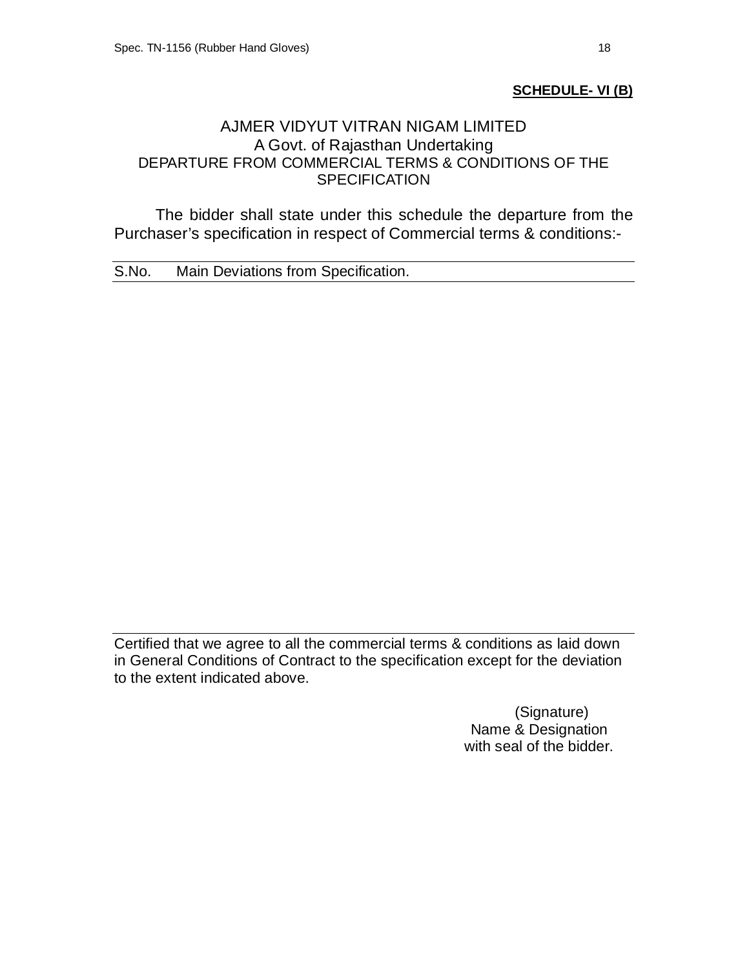## **SCHEDULE- VI (B)**

## AJMER VIDYUT VITRAN NIGAM LIMITED A Govt. of Rajasthan Undertaking DEPARTURE FROM COMMERCIAL TERMS & CONDITIONS OF THE **SPECIFICATION**

The bidder shall state under this schedule the departure from the Purchaser's specification in respect of Commercial terms & conditions:-

S.No. Main Deviations from Specification.

Certified that we agree to all the commercial terms & conditions as laid down in General Conditions of Contract to the specification except for the deviation to the extent indicated above.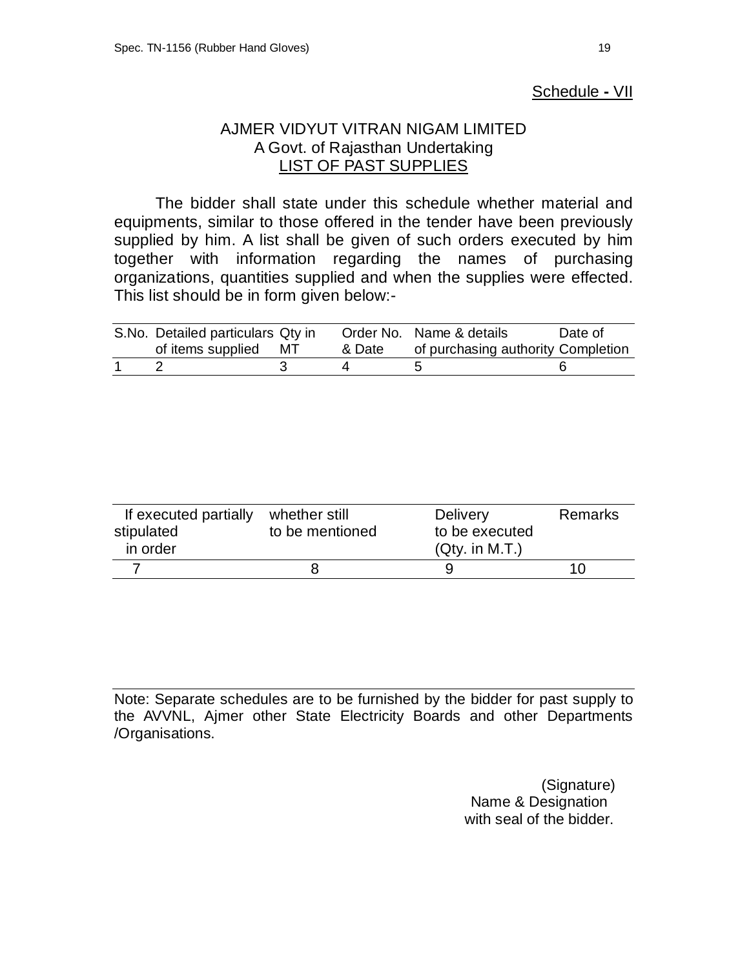## Schedule **-** VII

## AJMER VIDYUT VITRAN NIGAM LIMITED A Govt. of Rajasthan Undertaking LIST OF PAST SUPPLIES

The bidder shall state under this schedule whether material and equipments, similar to those offered in the tender have been previously supplied by him. A list shall be given of such orders executed by him together with information regarding the names of purchasing organizations, quantities supplied and when the supplies were effected. This list should be in form given below:-

| S.No. Detailed particulars Qty in |        | Order No. Name & details           | Date of |
|-----------------------------------|--------|------------------------------------|---------|
| of items supplied MT              | & Date | of purchasing authority Completion |         |
|                                   |        |                                    |         |

| If executed partially<br>stipulated | whether still<br>to be mentioned | <b>Delivery</b><br>to be executed | <b>Remarks</b> |
|-------------------------------------|----------------------------------|-----------------------------------|----------------|
| in order                            |                                  | (Qty. in M.T.)                    |                |
|                                     |                                  |                                   |                |

Note: Separate schedules are to be furnished by the bidder for past supply to the AVVNL, Ajmer other State Electricity Boards and other Departments /Organisations.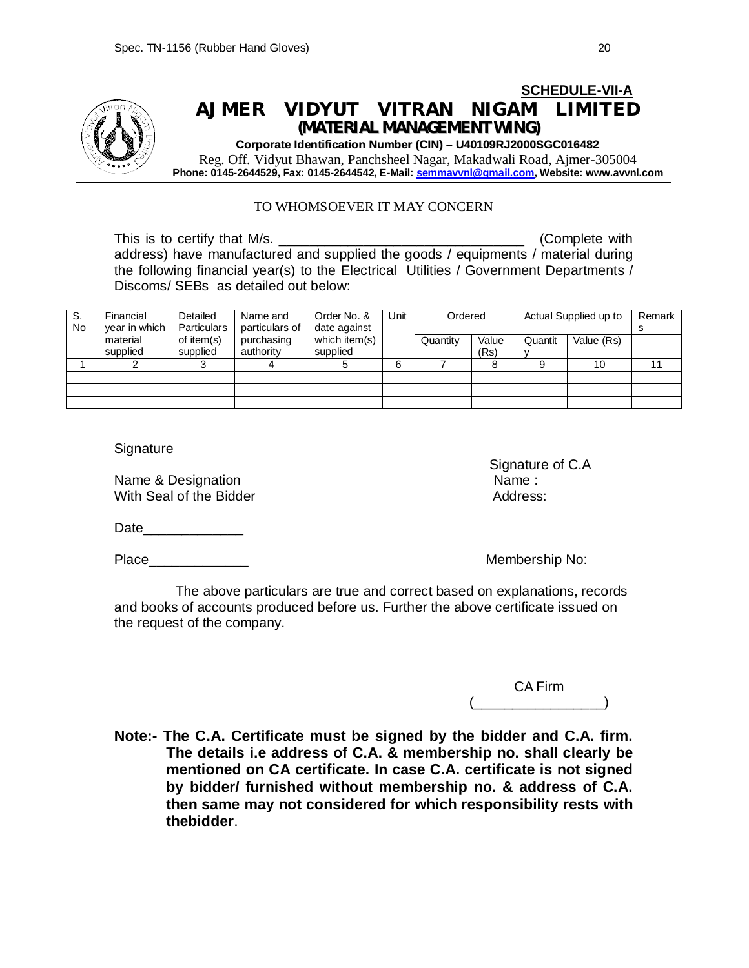

#### TO WHOMSOEVER IT MAY CONCERN

This is to certify that M/s. \_\_\_\_\_\_\_\_\_\_\_\_\_\_\_\_\_\_\_\_\_\_\_\_\_\_\_\_\_\_\_\_ (Complete with address) have manufactured and supplied the goods / equipments / material during the following financial year(s) to the Electrical Utilities / Government Departments / Discoms/ SEBs as detailed out below:

| S.<br>No | Financial<br>year in which | Detailed<br><b>Particulars</b> | Name and<br>particulars of | Order No. &<br>date against | Unit | Ordered  |               |         | Actual Supplied up to | Remark |
|----------|----------------------------|--------------------------------|----------------------------|-----------------------------|------|----------|---------------|---------|-----------------------|--------|
|          | material<br>supplied       | of item(s)<br>supplied         | purchasing<br>authority    | which item(s)<br>supplied   |      | Quantity | Value<br>(Rs) | Quantit | Value (Rs)            |        |
|          |                            |                                |                            |                             | 6    |          |               |         | 10                    |        |
|          |                            |                                |                            |                             |      |          |               |         |                       |        |
|          |                            |                                |                            |                             |      |          |               |         |                       |        |
|          |                            |                                |                            |                             |      |          |               |         |                       |        |

**Signature** 

Name & Designation Name : Name : Name : Name : Name : Name : Name : Name : Name : Name : Name : Name : Name :  $\mathbb{R}^n$ With Seal of the Bidder **Address:** Address:

Signature of C.A

Date\_\_\_\_\_\_\_\_\_\_\_\_\_

Place\_\_\_\_\_\_\_\_\_\_\_\_\_ Membership No:

 The above particulars are true and correct based on explanations, records and books of accounts produced before us. Further the above certificate issued on the request of the company.

> CA Firm  $(\_\_\_\_\_$

**Note:- The C.A. Certificate must be signed by the bidder and C.A. firm. The details i.e address of C.A. & membership no. shall clearly be mentioned on CA certificate. In case C.A. certificate is not signed by bidder/ furnished without membership no. & address of C.A. then same may not considered for which responsibility rests with thebidder**.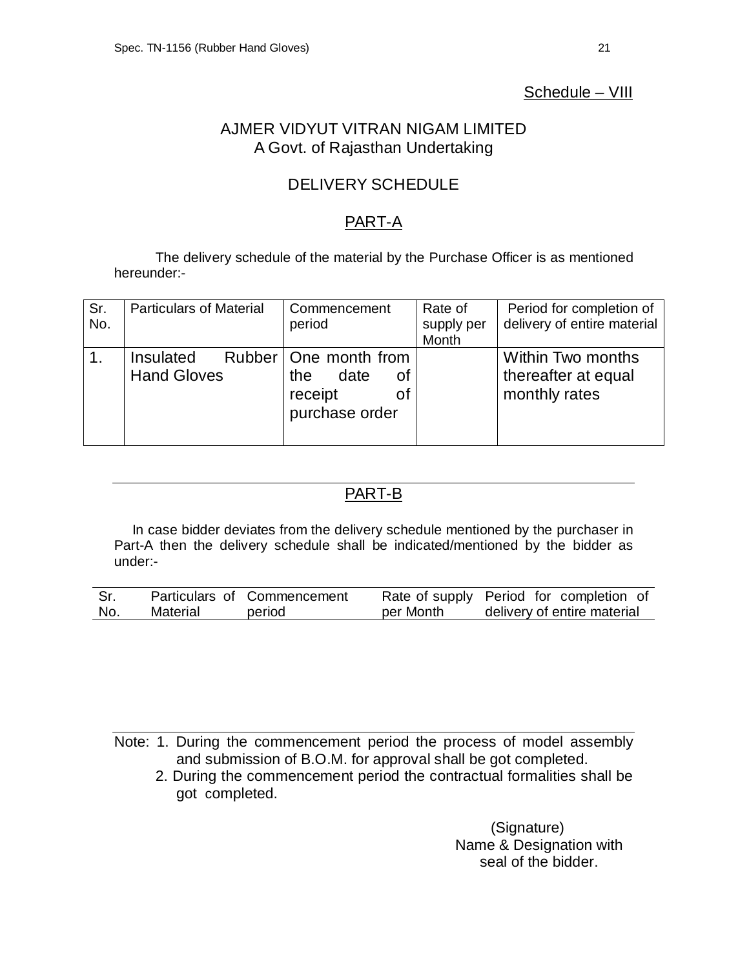## Schedule – VIII

## AJMER VIDYUT VITRAN NIGAM LIMITED A Govt. of Rajasthan Undertaking

## DELIVERY SCHEDULE

## PART-A

The delivery schedule of the material by the Purchase Officer is as mentioned hereunder:-

| Sr.<br>No. | <b>Particulars of Material</b>  | Commencement<br>period                                                          | Rate of<br>supply per<br>Month | Period for completion of<br>delivery of entire material   |
|------------|---------------------------------|---------------------------------------------------------------------------------|--------------------------------|-----------------------------------------------------------|
|            | Insulated<br><b>Hand Gloves</b> | Rubber   One month from<br>date<br>the<br>οf<br>receipt<br>οt<br>purchase order |                                | Within Two months<br>thereafter at equal<br>monthly rates |

## PART-B

In case bidder deviates from the delivery schedule mentioned by the purchaser in Part-A then the delivery schedule shall be indicated/mentioned by the bidder as under:-

| Sr. |          | Particulars of Commencement |           | Rate of supply Period for completion of |
|-----|----------|-----------------------------|-----------|-----------------------------------------|
| No. | Material | period                      | per Month | delivery of entire material             |

Note: 1. During the commencement period the process of model assembly and submission of B.O.M. for approval shall be got completed.

2. During the commencement period the contractual formalities shall be got completed.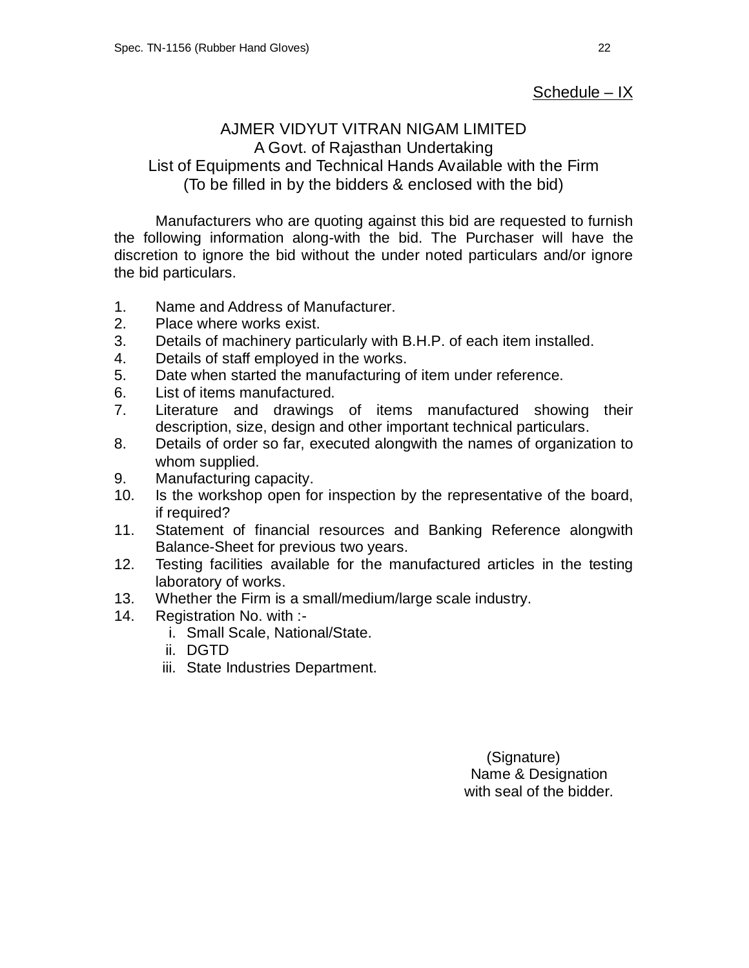## <u>Schedule – IX</u>

## AJMER VIDYUT VITRAN NIGAM LIMITED A Govt. of Rajasthan Undertaking List of Equipments and Technical Hands Available with the Firm (To be filled in by the bidders & enclosed with the bid)

Manufacturers who are quoting against this bid are requested to furnish the following information along-with the bid. The Purchaser will have the discretion to ignore the bid without the under noted particulars and/or ignore the bid particulars.

- 1. Name and Address of Manufacturer.
- 2. Place where works exist.
- 3. Details of machinery particularly with B.H.P. of each item installed.
- 4. Details of staff employed in the works.
- 5. Date when started the manufacturing of item under reference.
- 6. List of items manufactured.
- 7. Literature and drawings of items manufactured showing their description, size, design and other important technical particulars.
- 8. Details of order so far, executed alongwith the names of organization to whom supplied.
- 9. Manufacturing capacity.
- 10. Is the workshop open for inspection by the representative of the board, if required?
- 11. Statement of financial resources and Banking Reference alongwith Balance-Sheet for previous two years.
- 12. Testing facilities available for the manufactured articles in the testing laboratory of works.
- 13. Whether the Firm is a small/medium/large scale industry.
- 14. Registration No. with :
	- i. Small Scale, National/State.
	- ii. DGTD
	- iii. State Industries Department.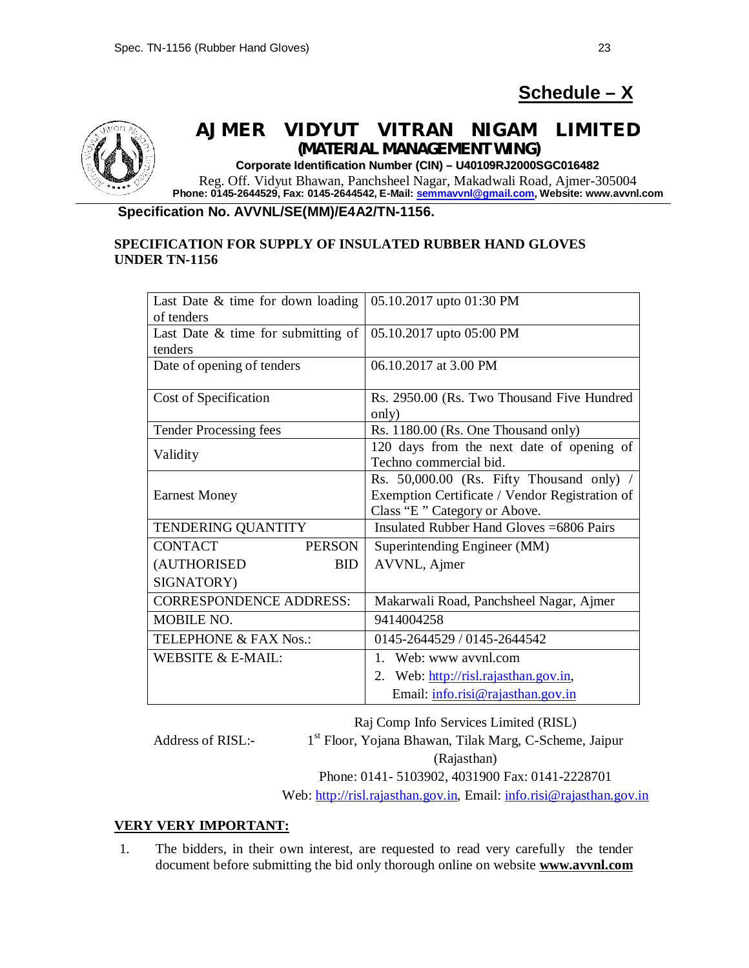# **Schedule – X**



## **AJMER VIDYUT VITRAN NIGAM LIMITED** *(MATERIAL MANAGEMENT WING)*

**Corporate Identification Number (CIN) – U40109RJ2000SGC016482** Reg. Off. Vidyut Bhawan, Panchsheel Nagar, Makadwali Road, Ajmer-305004 **Phone: 0145-2644529, Fax: 0145-2644542, E-Mail: semmavvnl@gmail.com, Website: www.avvnl.com**

### **Specification No. AVVNL/SE(MM)/E4A2/TN-1156.**

### **SPECIFICATION FOR SUPPLY OF INSULATED RUBBER HAND GLOVES UNDER TN-1156**

| Last Date $\&$ time for down loading  | 05.10.2017 upto 01:30 PM                       |
|---------------------------------------|------------------------------------------------|
| of tenders                            |                                                |
| Last Date $\&$ time for submitting of | 05.10.2017 upto 05:00 PM                       |
| tenders                               |                                                |
| Date of opening of tenders            | 06.10.2017 at 3.00 PM                          |
|                                       |                                                |
| Cost of Specification                 | Rs. 2950.00 (Rs. Two Thousand Five Hundred     |
|                                       | only)                                          |
| <b>Tender Processing fees</b>         | Rs. 1180.00 (Rs. One Thousand only)            |
| Validity                              | 120 days from the next date of opening of      |
|                                       | Techno commercial bid.                         |
|                                       | Rs. 50,000.00 (Rs. Fifty Thousand only) /      |
| <b>Earnest Money</b>                  | Exemption Certificate / Vendor Registration of |
|                                       | Class "E" Category or Above.                   |
| <b>TENDERING QUANTITY</b>             | Insulated Rubber Hand Gloves = 6806 Pairs      |
| <b>CONTACT</b><br><b>PERSON</b>       | Superintending Engineer (MM)                   |
| (AUTHORISED<br><b>BID</b>             | AVVNL, Ajmer                                   |
| SIGNATORY)                            |                                                |
| <b>CORRESPONDENCE ADDRESS:</b>        | Makarwali Road, Panchsheel Nagar, Ajmer        |
| <b>MOBILE NO.</b>                     | 9414004258                                     |
| <b>TELEPHONE &amp; FAX Nos.:</b>      | 0145-2644529 / 0145-2644542                    |
| WEBSITE & E-MAIL:                     | 1. Web: www avvnl.com                          |
|                                       | 2. Web: http://risl.rajasthan.gov.in,          |
|                                       | Email: info.risi@rajasthan.gov.in              |

Raj Comp Info Services Limited (RISL)

Address of RISL:-

1 st Floor, Yojana Bhawan, Tilak Marg, C-Scheme, Jaipur

(Rajasthan)

Phone: 0141- 5103902, 4031900 Fax: 0141-2228701

Web: http://risl.rajasthan.gov.in, Email: info.risi@rajasthan.gov.in

### **VERY VERY IMPORTANT:**

1. The bidders, in their own interest, are requested to read very carefully the tender document before submitting the bid only thorough online on website **www.avvnl.com**